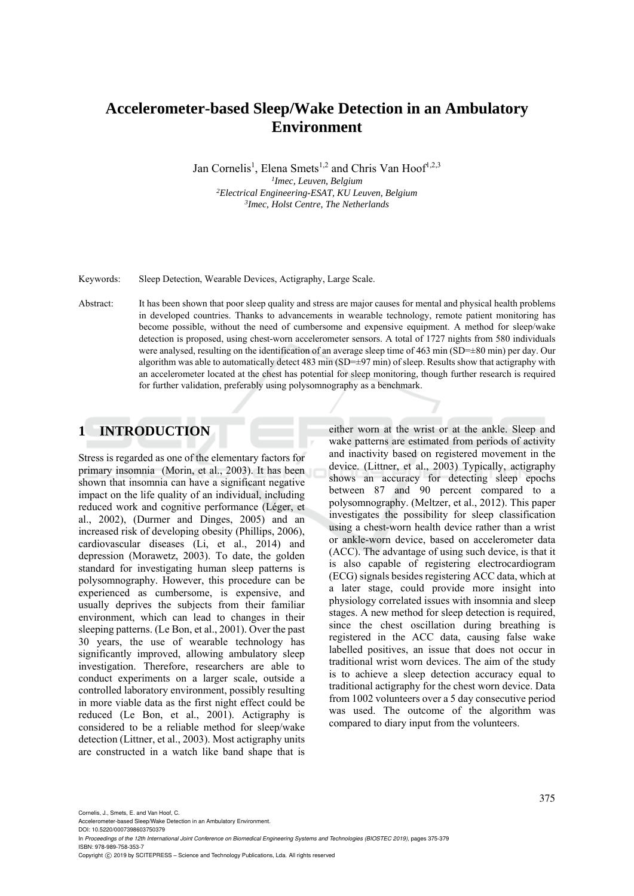# **Accelerometer-based Sleep/Wake Detection in an Ambulatory Environment**

Jan Cornelis<sup>1</sup>, Elena Smets<sup>1,2</sup> and Chris Van Hoof<sup>1,2,3</sup> *<sup>1</sup>Imec, Leuven, Belgium*<br><sup>2</sup>*Electrical Engineering-ESAT KILLet Electrical Engineering-ESAT, KU Leuven, Belgium 3Imec, Holst Centre, The Netherlands* 

Keywords: Sleep Detection, Wearable Devices, Actigraphy, Large Scale.

Abstract: It has been shown that poor sleep quality and stress are major causes for mental and physical health problems in developed countries. Thanks to advancements in wearable technology, remote patient monitoring has become possible, without the need of cumbersome and expensive equipment. A method for sleep/wake detection is proposed, using chest-worn accelerometer sensors. A total of 1727 nights from 580 individuals were analysed, resulting on the identification of an average sleep time of 463 min (SD=±80 min) per day. Our algorithm was able to automatically detect 483 min (SD= $\pm$ 97 min) of sleep. Results show that actigraphy with an accelerometer located at the chest has potential for sleep monitoring, though further research is required for further validation, preferably using polysomnography as a benchmark.

# **1 INTRODUCTION**

Stress is regarded as one of the elementary factors for primary insomnia (Morin, et al., 2003). It has been shown that insomnia can have a significant negative impact on the life quality of an individual, including reduced work and cognitive performance (Léger, et al., 2002), (Durmer and Dinges, 2005) and an increased risk of developing obesity (Phillips, 2006), cardiovascular diseases (Li, et al., 2014) and depression (Morawetz, 2003). To date, the golden standard for investigating human sleep patterns is polysomnography. However, this procedure can be experienced as cumbersome, is expensive, and usually deprives the subjects from their familiar environment, which can lead to changes in their sleeping patterns. (Le Bon, et al., 2001). Over the past 30 years, the use of wearable technology has significantly improved, allowing ambulatory sleep investigation. Therefore, researchers are able to conduct experiments on a larger scale, outside a controlled laboratory environment, possibly resulting in more viable data as the first night effect could be reduced (Le Bon, et al., 2001). Actigraphy is considered to be a reliable method for sleep/wake detection (Littner, et al., 2003). Most actigraphy units are constructed in a watch like band shape that is

either worn at the wrist or at the ankle. Sleep and wake patterns are estimated from periods of activity and inactivity based on registered movement in the device. (Littner, et al., 2003) Typically, actigraphy shows an accuracy for detecting sleep epochs between 87 and 90 percent compared to a polysomnography. (Meltzer, et al., 2012). This paper investigates the possibility for sleep classification using a chest-worn health device rather than a wrist or ankle-worn device, based on accelerometer data (ACC). The advantage of using such device, is that it is also capable of registering electrocardiogram (ECG) signals besides registering ACC data, which at a later stage, could provide more insight into physiology correlated issues with insomnia and sleep stages. A new method for sleep detection is required, since the chest oscillation during breathing is registered in the ACC data, causing false wake labelled positives, an issue that does not occur in traditional wrist worn devices. The aim of the study is to achieve a sleep detection accuracy equal to traditional actigraphy for the chest worn device. Data from 1002 volunteers over a 5 day consecutive period was used. The outcome of the algorithm was compared to diary input from the volunteers.

Cornelis, J., Smets, E. and Van Hoof, C.

Accelerometer-based Sleep/Wake Detection in an Ambulatory Environment. DOI: 10.5220/0007398603750379

In *Proceedings of the 12th International Joint Conference on Biomedical Engineering Systems and Technologies (BIOSTEC 2019)*, pages 375-379 ISBN: 978-989-758-353-7

Copyright (C) 2019 by SCITEPRESS - Science and Technology Publications, Lda. All rights reserved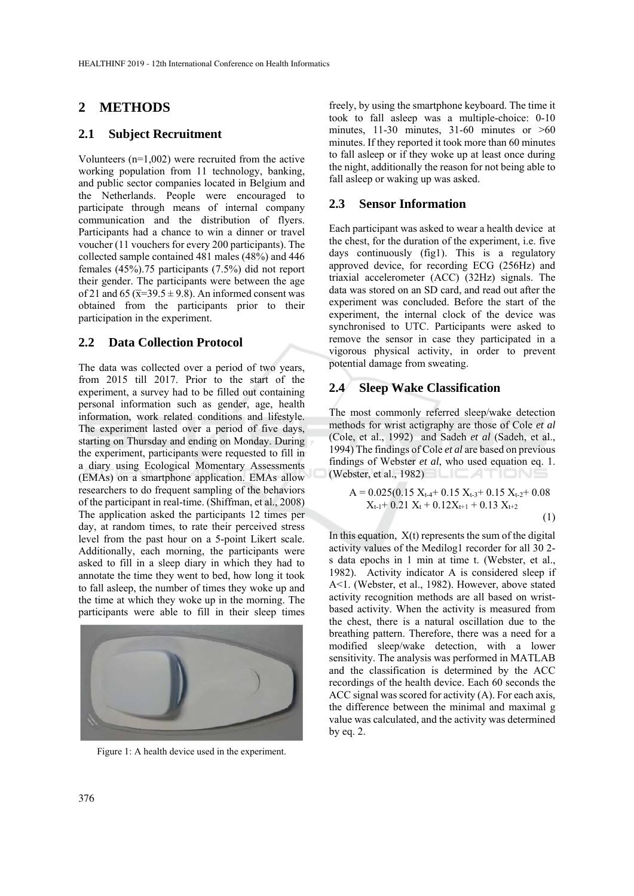# **2 METHODS**

### **2.1 Subject Recruitment**

Volunteers (n=1,002) were recruited from the active working population from 11 technology, banking, and public sector companies located in Belgium and the Netherlands. People were encouraged to participate through means of internal company communication and the distribution of flyers. Participants had a chance to win a dinner or travel voucher (11 vouchers for every 200 participants). The collected sample contained 481 males (48%) and 446 females (45%).75 participants (7.5%) did not report their gender. The participants were between the age of 21 and 65 ( $\overline{x}$ =39.5 ± 9.8). An informed consent was obtained from the participants prior to their participation in the experiment.

# **2.2 Data Collection Protocol**

The data was collected over a period of two years, from 2015 till 2017. Prior to the start of the experiment, a survey had to be filled out containing personal information such as gender, age, health information, work related conditions and lifestyle. The experiment lasted over a period of five days, starting on Thursday and ending on Monday. During the experiment, participants were requested to fill in a diary using Ecological Momentary Assessments (EMAs) on a smartphone application. EMAs allow researchers to do frequent sampling of the behaviors of the participant in real-time. (Shiffman, et al., 2008) The application asked the participants 12 times per day, at random times, to rate their perceived stress level from the past hour on a 5-point Likert scale. Additionally, each morning, the participants were asked to fill in a sleep diary in which they had to annotate the time they went to bed, how long it took to fall asleep, the number of times they woke up and the time at which they woke up in the morning. The participants were able to fill in their sleep times



Figure 1: A health device used in the experiment.

freely, by using the smartphone keyboard. The time it took to fall asleep was a multiple-choice: 0-10 minutes, 11-30 minutes, 31-60 minutes or  $>60$ minutes. If they reported it took more than 60 minutes to fall asleep or if they woke up at least once during the night, additionally the reason for not being able to fall asleep or waking up was asked.

### **2.3 Sensor Information**

Each participant was asked to wear a health device at the chest, for the duration of the experiment, i.e. five days continuously (fig1). This is a regulatory approved device, for recording ECG (256Hz) and triaxial accelerometer (ACC) (32Hz) signals. The data was stored on an SD card, and read out after the experiment was concluded. Before the start of the experiment, the internal clock of the device was synchronised to UTC. Participants were asked to remove the sensor in case they participated in a vigorous physical activity, in order to prevent potential damage from sweating.

## **2.4 Sleep Wake Classification**

The most commonly referred sleep/wake detection methods for wrist actigraphy are those of Cole *et al* (Cole, et al., 1992) and Sadeh *et al* (Sadeh, et al., 1994) The findings of Cole *et al* are based on previous findings of Webster *et al*, who used equation eq. 1. (Webster, et al., 1982)

$$
A = 0.025(0.15 X_{t-4} + 0.15 X_{t-3} + 0.15 X_{t-2} + 0.08
$$
  
X<sub>t-1</sub> + 0.21 X<sub>t</sub> + 0.12X<sub>t+1</sub> + 0.13 X<sub>t+2</sub> (1)

In this equation,  $X(t)$  represents the sum of the digital activity values of the Medilog1 recorder for all 30 2 s data epochs in 1 min at time t. (Webster, et al., 1982). Activity indicator A is considered sleep if A<1. (Webster, et al., 1982). However, above stated activity recognition methods are all based on wristbased activity. When the activity is measured from the chest, there is a natural oscillation due to the breathing pattern. Therefore, there was a need for a modified sleep/wake detection, with a lower sensitivity. The analysis was performed in MATLAB and the classification is determined by the ACC recordings of the health device. Each 60 seconds the ACC signal was scored for activity (A). For each axis, the difference between the minimal and maximal g value was calculated, and the activity was determined by eq. 2.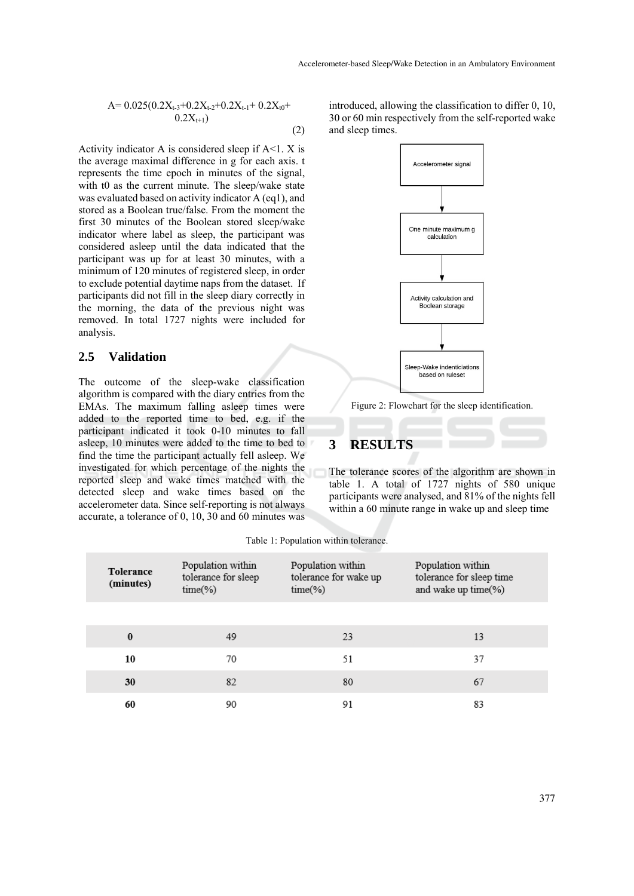$$
A= 0.025(0.2X_{t-3}+0.2X_{t-2}+0.2X_{t-1}+0.2X_{t0}+0.2X_{t+1})
$$
\n
$$
0.2X_{t+1})
$$
\n(2)

Activity indicator A is considered sleep if  $A \le 1$ . X is the average maximal difference in g for each axis. t represents the time epoch in minutes of the signal, with t0 as the current minute. The sleep/wake state was evaluated based on activity indicator A (eq1), and stored as a Boolean true/false. From the moment the first 30 minutes of the Boolean stored sleep/wake indicator where label as sleep, the participant was considered asleep until the data indicated that the participant was up for at least 30 minutes, with a minimum of 120 minutes of registered sleep, in order to exclude potential daytime naps from the dataset. If participants did not fill in the sleep diary correctly in the morning, the data of the previous night was removed. In total 1727 nights were included for analysis.

# **2.5 Validation**

The outcome of the sleep-wake classification algorithm is compared with the diary entries from the EMAs. The maximum falling asleep times were added to the reported time to bed, e.g. if the participant indicated it took 0-10 minutes to fall asleep, 10 minutes were added to the time to bed to find the time the participant actually fell asleep. We investigated for which percentage of the nights the reported sleep and wake times matched with the detected sleep and wake times based on the accelerometer data. Since self-reporting is not always accurate, a tolerance of 0, 10, 30 and 60 minutes was

introduced, allowing the classification to differ 0, 10, 30 or 60 min respectively from the self-reported wake and sleep times.



#### Figure 2: Flowchart for the sleep identification.

# **3 RESULTS**

The tolerance scores of the algorithm are shown in table 1. A total of 1727 nights of 580 unique participants were analysed, and 81% of the nights fell within a 60 minute range in wake up and sleep time

| <b>Tolerance</b><br>(minutes) | Population within<br>tolerance for sleep<br>$time(\% )$ | Population within<br>tolerance for wake up<br>$time(\% )$ | Population within<br>tolerance for sleep time<br>and wake up time(%) |
|-------------------------------|---------------------------------------------------------|-----------------------------------------------------------|----------------------------------------------------------------------|
|                               |                                                         |                                                           |                                                                      |
| $\bf{0}$                      | 49                                                      | 23                                                        | 13                                                                   |
| 10                            | 70                                                      | 51                                                        | 37                                                                   |
| 30                            | 82                                                      | 80                                                        | 67                                                                   |
| 60                            | 90                                                      | 91                                                        | 83                                                                   |

| Table 1: Population within tolerance. |  |
|---------------------------------------|--|
|---------------------------------------|--|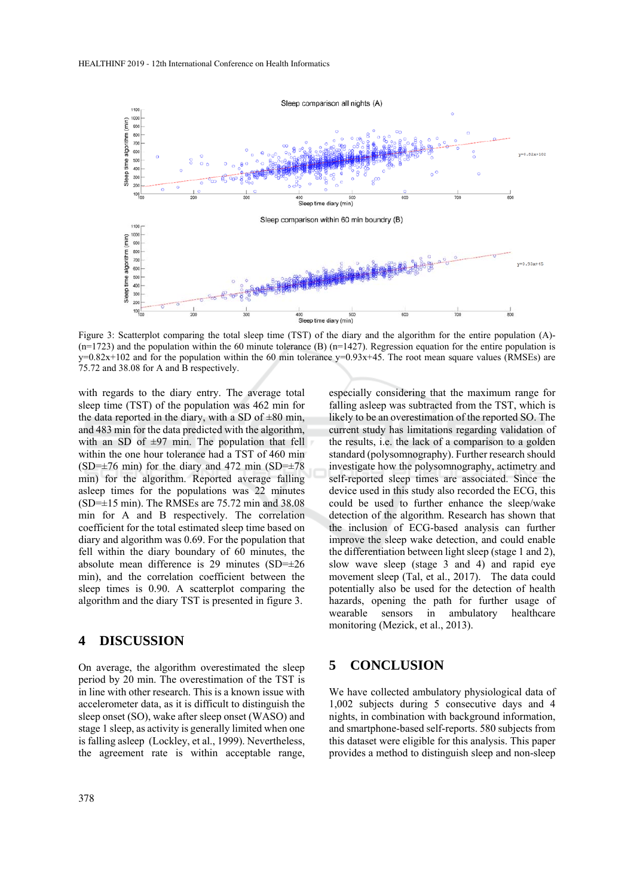

Figure 3: Scatterplot comparing the total sleep time (TST) of the diary and the algorithm for the entire population (A)-  $(n=1723)$  and the population within the 60 minute tolerance (B)  $(n=1427)$ . Regression equation for the entire population is  $y=0.82x+102$  and for the population within the 60 min tolerance  $y=0.93x+45$ . The root mean square values (RMSEs) are 75.72 and 38.08 for A and B respectively.

with regards to the diary entry. The average total sleep time (TST) of the population was 462 min for the data reported in the diary, with a SD of  $\pm 80$  min, and 483 min for the data predicted with the algorithm, with an SD of  $\pm$ 97 min. The population that fell within the one hour tolerance had a TST of 460 min  $(SD=\pm 76 \text{ min})$  for the diary and 472 min  $(SD=\pm 78 \text{ min})$ min) for the algorithm. Reported average falling asleep times for the populations was 22 minutes (SD=±15 min). The RMSEs are 75.72 min and 38.08 min for A and B respectively. The correlation coefficient for the total estimated sleep time based on diary and algorithm was 0.69. For the population that fell within the diary boundary of 60 minutes, the absolute mean difference is 29 minutes (SD=±26 min), and the correlation coefficient between the sleep times is 0.90. A scatterplot comparing the algorithm and the diary TST is presented in figure 3.

#### **4 DISCUSSION**

On average, the algorithm overestimated the sleep period by 20 min. The overestimation of the TST is in line with other research. This is a known issue with accelerometer data, as it is difficult to distinguish the sleep onset (SO), wake after sleep onset (WASO) and stage 1 sleep, as activity is generally limited when one is falling asleep (Lockley, et al., 1999). Nevertheless, the agreement rate is within acceptable range,

especially considering that the maximum range for falling asleep was subtracted from the TST, which is likely to be an overestimation of the reported SO. The current study has limitations regarding validation of the results, i.e. the lack of a comparison to a golden standard (polysomnography). Further research should investigate how the polysomnography, actimetry and self-reported sleep times are associated. Since the device used in this study also recorded the ECG, this could be used to further enhance the sleep/wake detection of the algorithm. Research has shown that the inclusion of ECG-based analysis can further improve the sleep wake detection, and could enable the differentiation between light sleep (stage 1 and 2), slow wave sleep (stage 3 and 4) and rapid eye movement sleep (Tal, et al., 2017). The data could potentially also be used for the detection of health hazards, opening the path for further usage of wearable sensors in ambulatory healthcare monitoring (Mezick, et al., 2013).

# **5 CONCLUSION**

We have collected ambulatory physiological data of 1,002 subjects during 5 consecutive days and 4 nights, in combination with background information, and smartphone-based self-reports. 580 subjects from this dataset were eligible for this analysis. This paper provides a method to distinguish sleep and non-sleep